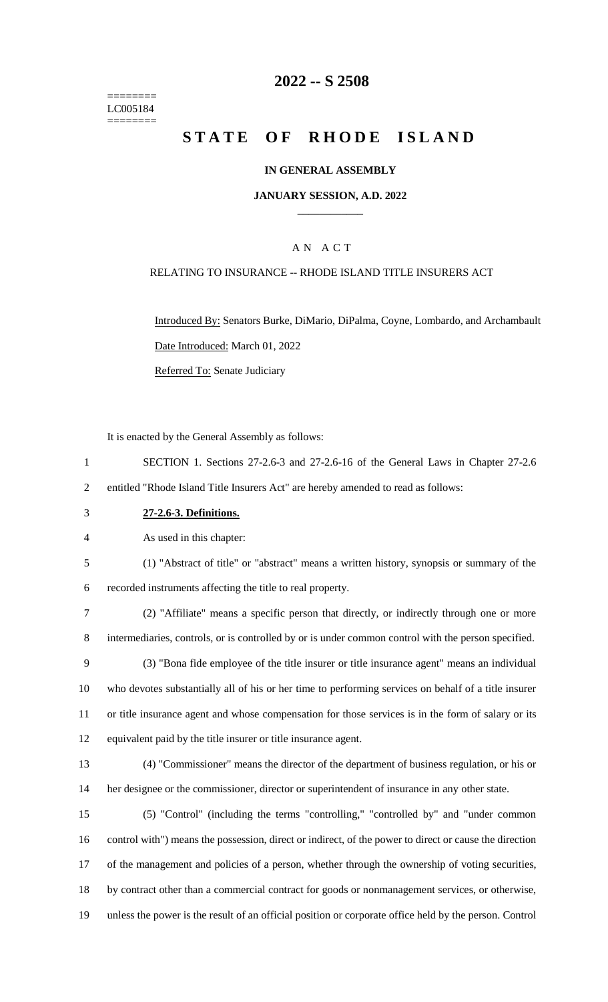======== LC005184 ========

## **-- S 2508**

# **STATE OF RHODE ISLAND**

#### **IN GENERAL ASSEMBLY**

#### **JANUARY SESSION, A.D. 2022 \_\_\_\_\_\_\_\_\_\_\_\_**

## A N A C T

#### RELATING TO INSURANCE -- RHODE ISLAND TITLE INSURERS ACT

Introduced By: Senators Burke, DiMario, DiPalma, Coyne, Lombardo, and Archambault Date Introduced: March 01, 2022 Referred To: Senate Judiciary

It is enacted by the General Assembly as follows:

 SECTION 1. Sections 27-2.6-3 and 27-2.6-16 of the General Laws in Chapter 27-2.6 entitled "Rhode Island Title Insurers Act" are hereby amended to read as follows:

**27-2.6-3. Definitions.**

As used in this chapter:

(1) "Abstract of title" or "abstract" means a written history, synopsis or summary of the

recorded instruments affecting the title to real property.

 (2) "Affiliate" means a specific person that directly, or indirectly through one or more intermediaries, controls, or is controlled by or is under common control with the person specified.

 (3) "Bona fide employee of the title insurer or title insurance agent" means an individual who devotes substantially all of his or her time to performing services on behalf of a title insurer or title insurance agent and whose compensation for those services is in the form of salary or its equivalent paid by the title insurer or title insurance agent.

 (4) "Commissioner" means the director of the department of business regulation, or his or her designee or the commissioner, director or superintendent of insurance in any other state.

 (5) "Control" (including the terms "controlling," "controlled by" and "under common control with") means the possession, direct or indirect, of the power to direct or cause the direction of the management and policies of a person, whether through the ownership of voting securities, by contract other than a commercial contract for goods or nonmanagement services, or otherwise, unless the power is the result of an official position or corporate office held by the person. Control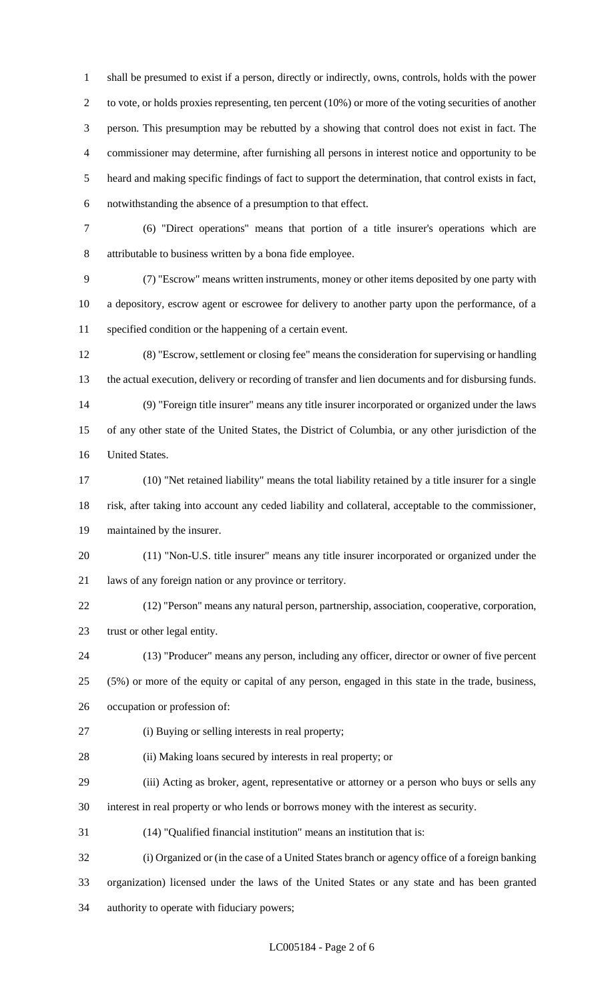shall be presumed to exist if a person, directly or indirectly, owns, controls, holds with the power to vote, or holds proxies representing, ten percent (10%) or more of the voting securities of another person. This presumption may be rebutted by a showing that control does not exist in fact. The commissioner may determine, after furnishing all persons in interest notice and opportunity to be heard and making specific findings of fact to support the determination, that control exists in fact, notwithstanding the absence of a presumption to that effect.

 (6) "Direct operations" means that portion of a title insurer's operations which are attributable to business written by a bona fide employee.

 (7) "Escrow" means written instruments, money or other items deposited by one party with a depository, escrow agent or escrowee for delivery to another party upon the performance, of a specified condition or the happening of a certain event.

 (8) "Escrow, settlement or closing fee" means the consideration for supervising or handling the actual execution, delivery or recording of transfer and lien documents and for disbursing funds. (9) "Foreign title insurer" means any title insurer incorporated or organized under the laws of any other state of the United States, the District of Columbia, or any other jurisdiction of the

United States.

 (10) "Net retained liability" means the total liability retained by a title insurer for a single risk, after taking into account any ceded liability and collateral, acceptable to the commissioner, maintained by the insurer.

 (11) "Non-U.S. title insurer" means any title insurer incorporated or organized under the laws of any foreign nation or any province or territory.

 (12) "Person" means any natural person, partnership, association, cooperative, corporation, trust or other legal entity.

 (13) "Producer" means any person, including any officer, director or owner of five percent (5%) or more of the equity or capital of any person, engaged in this state in the trade, business, occupation or profession of:

(i) Buying or selling interests in real property;

(ii) Making loans secured by interests in real property; or

 (iii) Acting as broker, agent, representative or attorney or a person who buys or sells any interest in real property or who lends or borrows money with the interest as security.

(14) "Qualified financial institution" means an institution that is:

 (i) Organized or (in the case of a United States branch or agency office of a foreign banking organization) licensed under the laws of the United States or any state and has been granted authority to operate with fiduciary powers;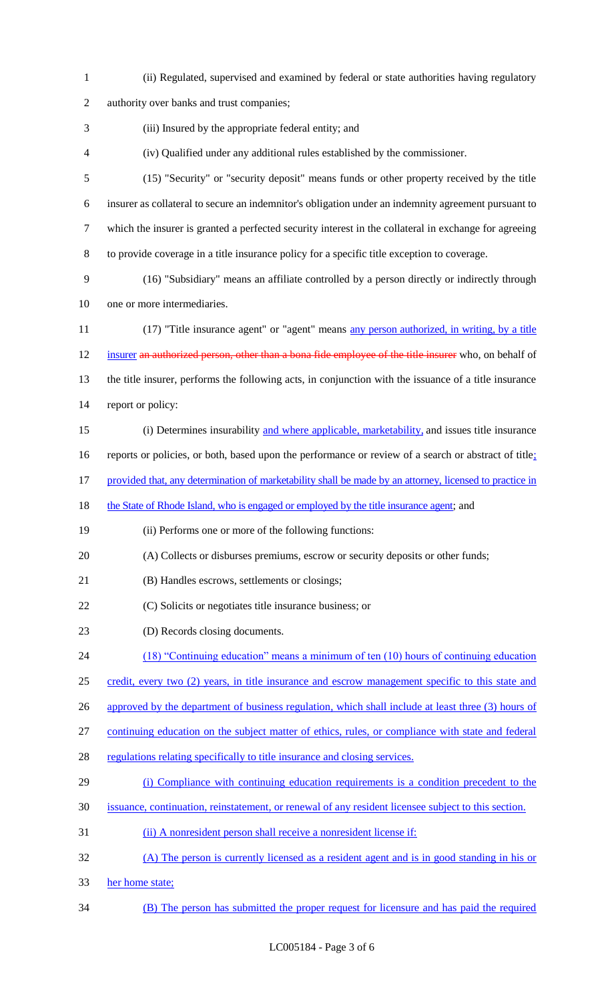| $\mathbf{1}$   | (ii) Regulated, supervised and examined by federal or state authorities having regulatory               |
|----------------|---------------------------------------------------------------------------------------------------------|
| $\overline{2}$ | authority over banks and trust companies;                                                               |
| 3              | (iii) Insured by the appropriate federal entity; and                                                    |
| 4              | (iv) Qualified under any additional rules established by the commissioner.                              |
| 5              | (15) "Security" or "security deposit" means funds or other property received by the title               |
| 6              | insurer as collateral to secure an indemnitor's obligation under an indemnity agreement pursuant to     |
| 7              | which the insurer is granted a perfected security interest in the collateral in exchange for agreeing   |
| 8              | to provide coverage in a title insurance policy for a specific title exception to coverage.             |
| 9              | (16) "Subsidiary" means an affiliate controlled by a person directly or indirectly through              |
| 10             | one or more intermediaries.                                                                             |
| 11             | (17) "Title insurance agent" or "agent" means any person authorized, in writing, by a title             |
| 12             | insurer an authorized person, other than a bona fide employee of the title insurer who, on behalf of    |
| 13             | the title insurer, performs the following acts, in conjunction with the issuance of a title insurance   |
| 14             | report or policy:                                                                                       |
| 15             | (i) Determines insurability and where applicable, marketability, and issues title insurance             |
| 16             | reports or policies, or both, based upon the performance or review of a search or abstract of title;    |
| 17             | provided that, any determination of marketability shall be made by an attorney, licensed to practice in |
| 18             | the State of Rhode Island, who is engaged or employed by the title insurance agent; and                 |
| 19             | (ii) Performs one or more of the following functions:                                                   |
| 20             | (A) Collects or disburses premiums, escrow or security deposits or other funds;                         |
| 21             | (B) Handles escrows, settlements or closings;                                                           |
| 22             | (C) Solicits or negotiates title insurance business; or                                                 |
| 23             | (D) Records closing documents.                                                                          |
| 24             | $(18)$ "Continuing education" means a minimum of ten $(10)$ hours of continuing education               |
| 25             | credit, every two (2) years, in title insurance and escrow management specific to this state and        |
| 26             | approved by the department of business regulation, which shall include at least three (3) hours of      |
| 27             | continuing education on the subject matter of ethics, rules, or compliance with state and federal       |
| 28             | regulations relating specifically to title insurance and closing services.                              |
| 29             | (i) Compliance with continuing education requirements is a condition precedent to the                   |
| 30             | issuance, continuation, reinstatement, or renewal of any resident licensee subject to this section.     |
| 31             | (ii) A nonresident person shall receive a nonresident license if:                                       |
| 32             | (A) The person is currently licensed as a resident agent and is in good standing in his or              |
| 33             | her home state;                                                                                         |
| 34             | (B) The person has submitted the proper request for licensure and has paid the required                 |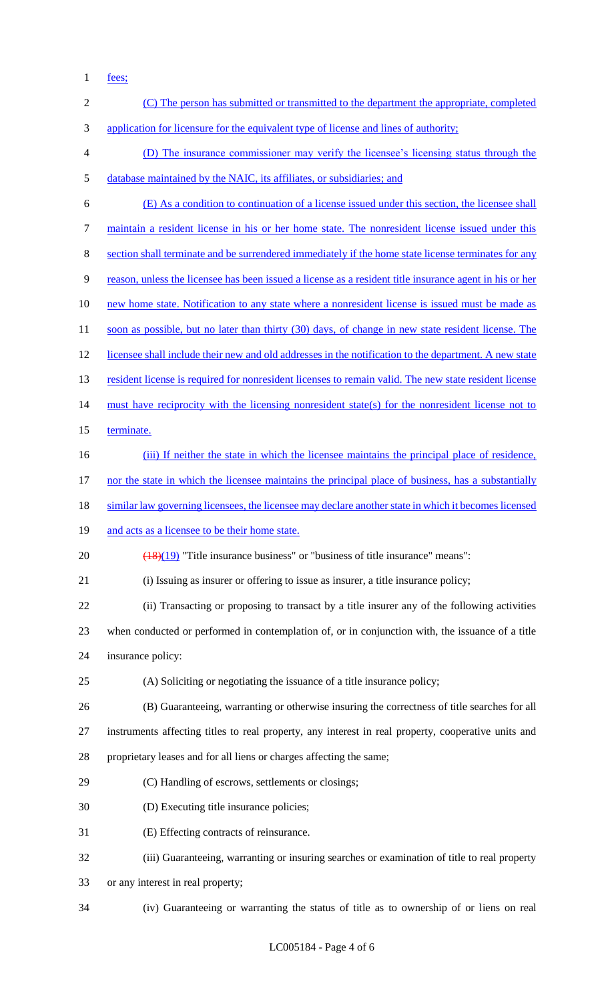fees;

| $\overline{2}$ | (C) The person has submitted or transmitted to the department the appropriate, completed                |
|----------------|---------------------------------------------------------------------------------------------------------|
| 3              | application for licensure for the equivalent type of license and lines of authority;                    |
| $\overline{4}$ | (D) The insurance commissioner may verify the licensee's licensing status through the                   |
| $\mathfrak{S}$ | database maintained by the NAIC, its affiliates, or subsidiaries; and                                   |
| 6              | (E) As a condition to continuation of a license issued under this section, the licensee shall           |
| $\tau$         | maintain a resident license in his or her home state. The nonresident license issued under this         |
| 8              | section shall terminate and be surrendered immediately if the home state license terminates for any     |
| 9              | reason, unless the licensee has been issued a license as a resident title insurance agent in his or her |
| 10             | new home state. Notification to any state where a nonresident license is issued must be made as         |
| 11             | soon as possible, but no later than thirty (30) days, of change in new state resident license. The      |
| 12             | licensee shall include their new and old addresses in the notification to the department. A new state   |
| 13             | resident license is required for nonresident licenses to remain valid. The new state resident license   |
| 14             | must have reciprocity with the licensing nonresident state(s) for the nonresident license not to        |
| 15             | terminate.                                                                                              |
| 16             | (iii) If neither the state in which the licensee maintains the principal place of residence,            |
| 17             | nor the state in which the licensee maintains the principal place of business, has a substantially      |
| 18             | similar law governing licensees, the licensee may declare another state in which it becomes licensed    |
| 19             | and acts as a licensee to be their home state.                                                          |
| 20             | $\frac{(18)(19)}{(18)(19)}$ "Title insurance business" or "business of title insurance" means":         |
| 21             | (i) Issuing as insurer or offering to issue as insurer, a title insurance policy;                       |
| 22             | (ii) Transacting or proposing to transact by a title insurer any of the following activities            |
| 23             | when conducted or performed in contemplation of, or in conjunction with, the issuance of a title        |
| 24             | insurance policy:                                                                                       |
| 25             | (A) Soliciting or negotiating the issuance of a title insurance policy;                                 |
| 26             | (B) Guaranteeing, warranting or otherwise insuring the correctness of title searches for all            |
| 27             | instruments affecting titles to real property, any interest in real property, cooperative units and     |
| 28             | proprietary leases and for all liens or charges affecting the same;                                     |
| 29             | (C) Handling of escrows, settlements or closings;                                                       |
| 30             | (D) Executing title insurance policies;                                                                 |
| 31             | (E) Effecting contracts of reinsurance.                                                                 |
| 32             | (iii) Guaranteeing, warranting or insuring searches or examination of title to real property            |
| 33             | or any interest in real property;                                                                       |
| 34             | (iv) Guaranteeing or warranting the status of title as to ownership of or liens on real                 |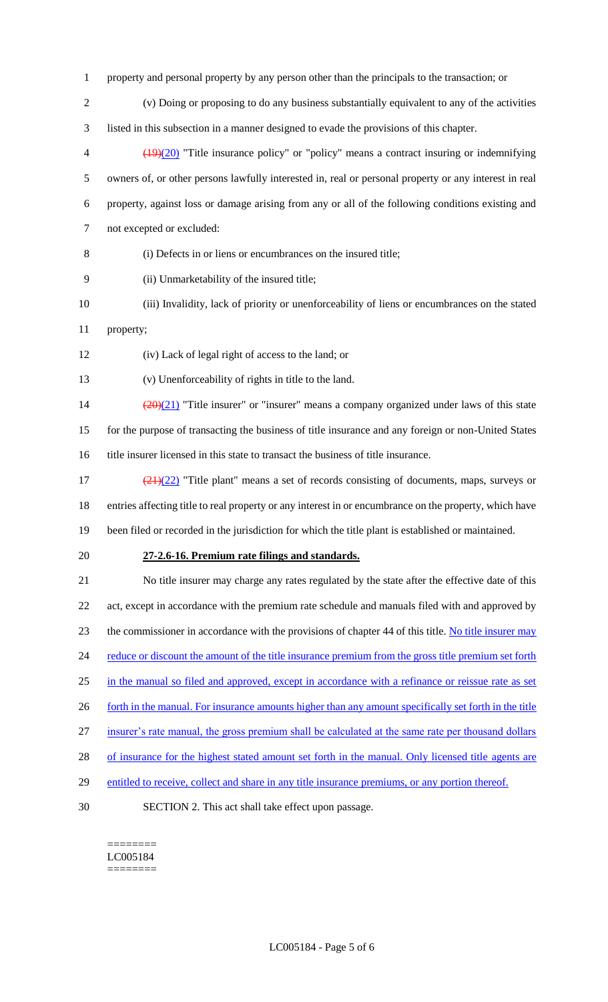- property and personal property by any person other than the principals to the transaction; or
- (v) Doing or proposing to do any business substantially equivalent to any of the activities listed in this subsection in a manner designed to evade the provisions of this chapter.
- $\left(\frac{(19)(20)}{20}\right)$  "Title insurance policy" or "policy" means a contract insuring or indemnifying owners of, or other persons lawfully interested in, real or personal property or any interest in real property, against loss or damage arising from any or all of the following conditions existing and not excepted or excluded:
- (i) Defects in or liens or encumbrances on the insured title;
- (ii) Unmarketability of the insured title;
- (iii) Invalidity, lack of priority or unenforceability of liens or encumbrances on the stated
- property;
- (iv) Lack of legal right of access to the land; or
- (v) Unenforceability of rights in title to the land.

14  $\left(\frac{(20)(21)}{20}\right)$  "Title insurer" or "insurer" means a company organized under laws of this state for the purpose of transacting the business of title insurance and any foreign or non-United States title insurer licensed in this state to transact the business of title insurance.

- $\frac{(21)(22)}{21}$  "Title plant" means a set of records consisting of documents, maps, surveys or entries affecting title to real property or any interest in or encumbrance on the property, which have
- been filed or recorded in the jurisdiction for which the title plant is established or maintained.
- 

#### **27-2.6-16. Premium rate filings and standards.**

 No title insurer may charge any rates regulated by the state after the effective date of this 22 act, except in accordance with the premium rate schedule and manuals filed with and approved by the commissioner in accordance with the provisions of chapter 44 of this title. No title insurer may 24 reduce or discount the amount of the title insurance premium from the gross title premium set forth in the manual so filed and approved, except in accordance with a refinance or reissue rate as set 26 forth in the manual. For insurance amounts higher than any amount specifically set forth in the title insurer's rate manual, the gross premium shall be calculated at the same rate per thousand dollars 28 of insurance for the highest stated amount set forth in the manual. Only licensed title agents are 29 entitled to receive, collect and share in any title insurance premiums, or any portion thereof.

SECTION 2. This act shall take effect upon passage.

#### ======== LC005184